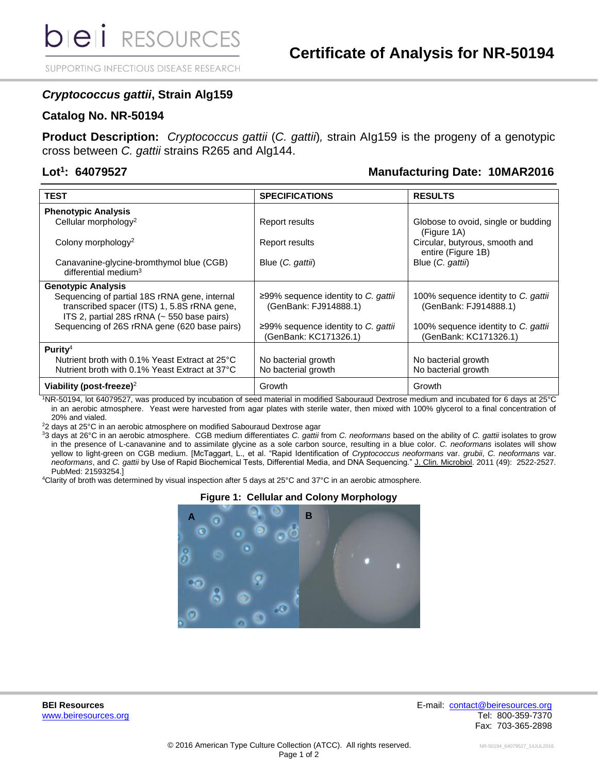**DIEI** RESOURCES

SUPPORTING INFECTIOUS DISEASE RESEARCH

## *Cryptococcus gattii***, Strain Alg159**

#### **Catalog No. NR-50194**

**Product Description:** *Cryptococcus gattii* (*C. gattii*)*,* strain AIg159 is the progeny of a genotypic cross between *C. gattii* strains R265 and Alg144.

## Lot<sup>1</sup>: 64079527

## **: 64079527 Manufacturing Date: 10MAR2016**

| <b>TEST</b>                                                                                                                                | <b>SPECIFICATIONS</b>                                        | <b>RESULTS</b>                                               |
|--------------------------------------------------------------------------------------------------------------------------------------------|--------------------------------------------------------------|--------------------------------------------------------------|
| <b>Phenotypic Analysis</b>                                                                                                                 |                                                              |                                                              |
| Cellular morphology <sup>2</sup>                                                                                                           | Report results                                               | Globose to ovoid, single or budding<br>(Figure 1A)           |
| Colony morphology <sup>2</sup>                                                                                                             | Report results                                               | Circular, butyrous, smooth and<br>entire (Figure 1B)         |
| Canavanine-glycine-bromthymol blue (CGB)<br>differential medium <sup>3</sup>                                                               | Blue (C. gattii)                                             | Blue (C. gattii)                                             |
| <b>Genotypic Analysis</b>                                                                                                                  |                                                              |                                                              |
| Sequencing of partial 18S rRNA gene, internal<br>transcribed spacer (ITS) 1, 5.8S rRNA gene,<br>ITS 2, partial 28S rRNA (~ 550 base pairs) | ≥99% sequence identity to C. gattii<br>(GenBank: FJ914888.1) | 100% sequence identity to C. gattii<br>(GenBank: FJ914888.1) |
| Sequencing of 26S rRNA gene (620 base pairs)                                                                                               | ≥99% sequence identity to C. gattii<br>(GenBank: KC171326.1) | 100% sequence identity to C. gattii<br>(GenBank: KC171326.1) |
| Purity <sup>4</sup>                                                                                                                        |                                                              |                                                              |
| Nutrient broth with 0.1% Yeast Extract at 25°C                                                                                             | No bacterial growth                                          | No bacterial growth                                          |
| Nutrient broth with 0.1% Yeast Extract at 37°C                                                                                             | No bacterial growth                                          | No bacterial growth                                          |
| Viability (post-freeze) <sup>2</sup>                                                                                                       | Growth                                                       | Growth                                                       |

<sup>1</sup>NR-50194, lot 64079527, was produced by incubation of seed material in modified Sabouraud Dextrose medium and incubated for 6 days at 25°C in an aerobic atmosphere. Yeast were harvested from agar plates with sterile water, then mixed with 100% glycerol to a final concentration of 20% and vialed.

 $22$  days at 25°C in an aerobic atmosphere on modified Sabouraud Dextrose agar

<sup>3</sup>3 days at 26°C in an aerobic atmosphere. CGB medium differentiates *C. gattii* from *C. neoformans* based on the ability of *C. gattii* isolates to grow in the presence of L-canavanine and to assimilate glycine as a sole carbon source, resulting in a blue color. *C. neoformans* isolates will show yellow to light-green on CGB medium. [McTaggart, L., et al. "Rapid Identification of *Cryptococcus neoformans* var. *grubii*, *C. neoformans* var. *neoformans*, and *C. gattii* by Use of Rapid Biochemical Tests, Differential Media, and DNA Sequencing." J. Clin. Microbiol. 2011 (49): 2522-2527. PubMed: 21593254.]

<sup>4</sup>Clarity of broth was determined by visual inspection after 5 days at 25°C and 37°C in an aerobic atmosphere.

### **Figure 1: Cellular and Colony Morphology**